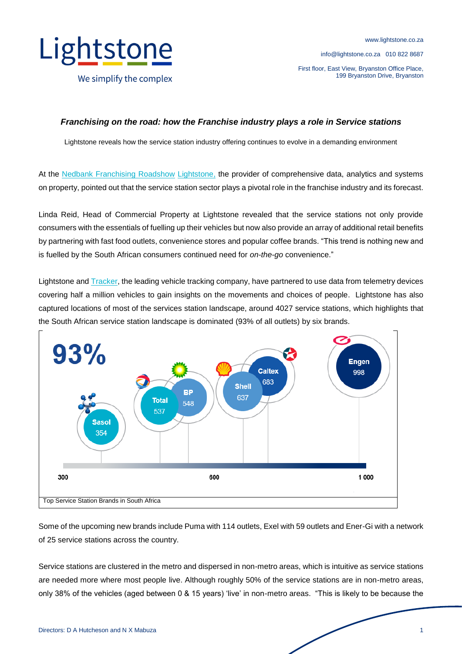

First floor, East View, Bryanston Office Place, 199 Bryanston Drive, Bryanston

## *Franchising on the road: how the Franchise industry plays a role in Service stations*

Lightstone reveals how the service station industry offering continues to evolve in a demanding environment

At the [Nedbank Franchising Roadshow](http://www.nedbank.co.za/) [Lightstone,](http://www.lightstone.co.za/) the provider of comprehensive data, analytics and systems on property, pointed out that the service station sector plays a pivotal role in the franchise industry and its forecast.

Linda Reid, Head of Commercial Property at Lightstone revealed that the service stations not only provide consumers with the essentials of fuelling up their vehicles but now also provide an array of additional retail benefits by partnering with fast food outlets, convenience stores and popular coffee brands. "This trend is nothing new and is fuelled by the South African consumers continued need for *on-the-go* convenience."

Lightstone and [Tracker,](http://www.tracker.co.za/) the leading vehicle tracking company, have partnered to use data from telemetry devices covering half a million vehicles to gain insights on the movements and choices of people. Lightstone has also captured locations of most of the services station landscape, around 4027 service stations, which highlights that the South African service station landscape is dominated (93% of all outlets) by six brands.



Some of the upcoming new brands include Puma with 114 outlets, Exel with 59 outlets and Ener-Gi with a network of 25 service stations across the country.

Service stations are clustered in the metro and dispersed in non-metro areas, which is intuitive as service stations are needed more where most people live. Although roughly 50% of the service stations are in non-metro areas, only 38% of the vehicles (aged between 0 & 15 years) 'live' in non-metro areas. "This is likely to be because the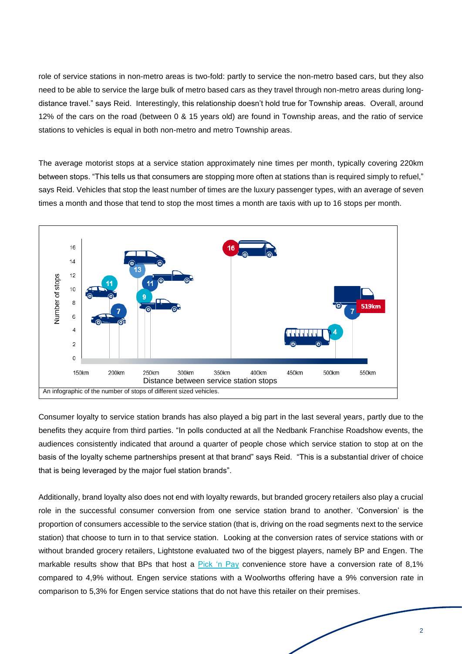role of service stations in non-metro areas is two-fold: partly to service the non-metro based cars, but they also need to be able to service the large bulk of metro based cars as they travel through non-metro areas during longdistance travel." says Reid. Interestingly, this relationship doesn't hold true for Township areas. Overall, around 12% of the cars on the road (between 0 & 15 years old) are found in Township areas, and the ratio of service stations to vehicles is equal in both non-metro and metro Township areas.

The average motorist stops at a service station approximately nine times per month, typically covering 220km between stops. "This tells us that consumers are stopping more often at stations than is required simply to refuel," says Reid. Vehicles that stop the least number of times are the luxury passenger types, with an average of seven times a month and those that tend to stop the most times a month are taxis with up to 16 stops per month.



Consumer loyalty to service station brands has also played a big part in the last several years, partly due to the benefits they acquire from third parties. "In polls conducted at all the Nedbank Franchise Roadshow events, the audiences consistently indicated that around a quarter of people chose which service station to stop at on the basis of the loyalty scheme partnerships present at that brand" says Reid. "This is a substantial driver of choice that is being leveraged by the major fuel station brands".

Additionally, brand loyalty also does not end with loyalty rewards, but branded grocery retailers also play a crucial role in the successful consumer conversion from one service station brand to another. 'Conversion' is the proportion of consumers accessible to the service station (that is, driving on the road segments next to the service station) that choose to turn in to that service station. Looking at the conversion rates of service stations with or without branded grocery retailers, Lightstone evaluated two of the biggest players, namely BP and Engen. The markable results show that BPs that host a [Pick 'n Pay](http://www.picknpay.co.za/) convenience store have a conversion rate of 8,1% compared to 4,9% without. Engen service stations with a Woolworths offering have a 9% conversion rate in comparison to 5,3% for Engen service stations that do not have this retailer on their premises.